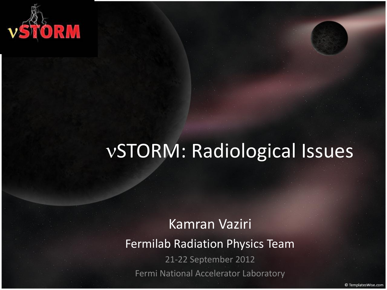

# vSTORM: Radiological Issues

#### Kamran Vaziri

Fermilab Radiation Physics Team

21-22 September 2012 Fermi National Accelerator Laboratory

© TemplatesWise.com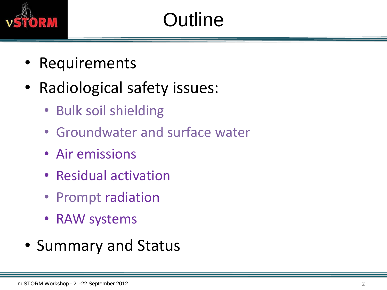

- Requirements
- Radiological safety issues:
	- Bulk soil shielding
	- Groundwater and surface water
	- Air emissions
	- Residual activation
	- Prompt radiation
	- RAW systems
- Summary and Status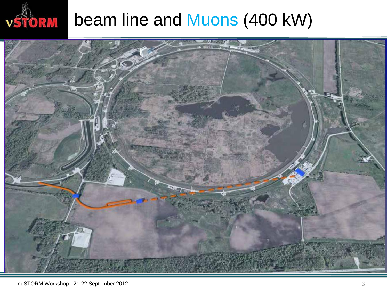

# vstorm beam line and Muons (400 kW)

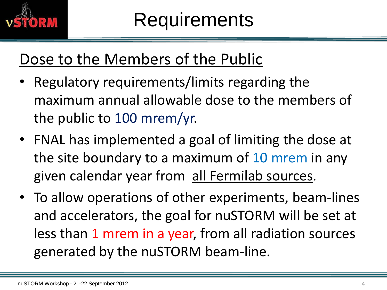

### Dose to the Members of the Public

- Regulatory requirements/limits regarding the maximum annual allowable dose to the members of the public to 100 mrem/yr.
- FNAL has implemented a goal of limiting the dose at the site boundary to a maximum of 10 mrem in any given calendar year from all Fermilab sources.
- To allow operations of other experiments, beam-lines and accelerators, the goal for nuSTORM will be set at less than 1 mrem in a year, from all radiation sources generated by the nuSTORM beam-line.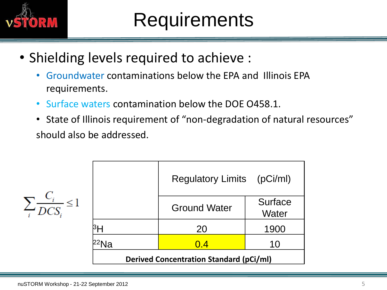

- Shielding levels required to achieve :
	- Groundwater contaminations below the EPA and Illinois EPA requirements.
	- Surface waters contamination below the DOE O458.1.
	- State of Illinois requirement of "non-degradation of natural resources" should also be addressed.

|                                   |                                                | Regulatory Limits (pCi/ml) |                         |  |  |  |
|-----------------------------------|------------------------------------------------|----------------------------|-------------------------|--|--|--|
| $\sum_i \frac{C_i}{DCS_i} \leq 1$ |                                                | <b>Ground Water</b>        | <b>Surface</b><br>Water |  |  |  |
|                                   | <sup>3</sup> H                                 | 20                         | 1900                    |  |  |  |
|                                   | Ja                                             | 0.4                        | 10                      |  |  |  |
|                                   | <b>Derived Concentration Standard (pCi/ml)</b> |                            |                         |  |  |  |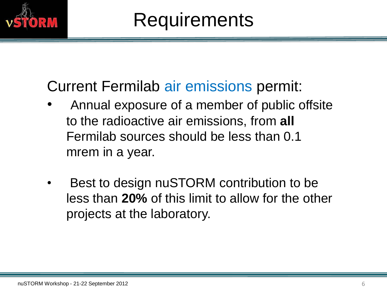

#### Current Fermilab air emissions permit:

- Annual exposure of a member of public offsite to the radioactive air emissions, from **all** Fermilab sources should be less than 0.1 mrem in a year.
- Best to design nuSTORM contribution to be less than **20%** of this limit to allow for the other projects at the laboratory.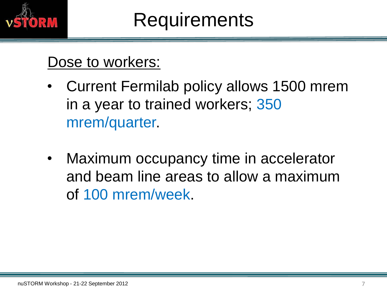

#### Dose to workers:

- Current Fermilab policy allows 1500 mrem in a year to trained workers; 350 mrem/quarter.
- Maximum occupancy time in accelerator and beam line areas to allow a maximum of 100 mrem/week.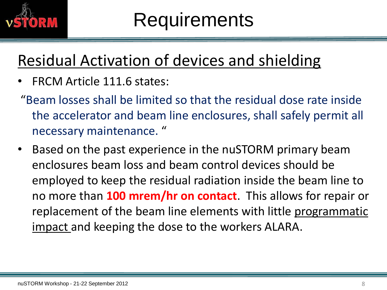

### Residual Activation of devices and shielding

- FRCM Article 111.6 states:
- "Beam losses shall be limited so that the residual dose rate inside the accelerator and beam line enclosures, shall safely permit all necessary maintenance. "
- Based on the past experience in the nuSTORM primary beam enclosures beam loss and beam control devices should be employed to keep the residual radiation inside the beam line to no more than **100 mrem/hr on contact**. This allows for repair or replacement of the beam line elements with little programmatic impact and keeping the dose to the workers ALARA.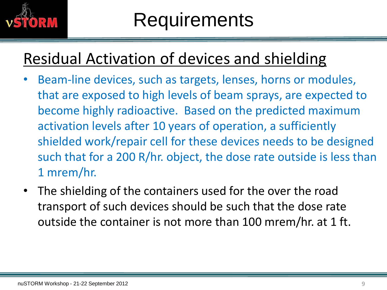

### Residual Activation of devices and shielding

- Beam-line devices, such as targets, lenses, horns or modules, that are exposed to high levels of beam sprays, are expected to become highly radioactive. Based on the predicted maximum activation levels after 10 years of operation, a sufficiently shielded work/repair cell for these devices needs to be designed such that for a 200 R/hr. object, the dose rate outside is less than 1 mrem/hr.
- The shielding of the containers used for the over the road transport of such devices should be such that the dose rate outside the container is not more than 100 mrem/hr. at 1 ft.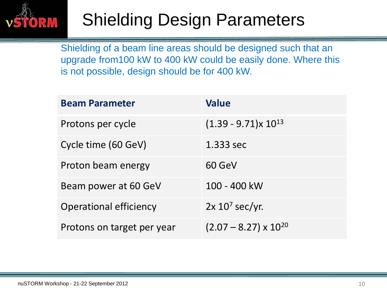

## Shielding Design Parameters

Shielding of a beam line areas should be designed such that an upgrade from100 kW to 400 kW could be easily done. Where this is not possible, design should be for 400 kW.

| <b>Beam Parameter</b>         | <b>Value</b>                   |
|-------------------------------|--------------------------------|
| Protons per cycle             | $(1.39 - 9.71)x 10^{13}$       |
| Cycle time (60 GeV)           | 1.333 sec                      |
| Proton beam energy            | 60 GeV                         |
| Beam power at 60 GeV          | 100 - 400 kW                   |
| <b>Operational efficiency</b> | $2x 107$ sec/yr.               |
| Protons on target per year    | $(2.07 - 8.27) \times 10^{20}$ |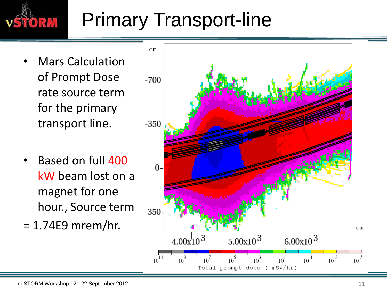

# Primary Transport-line

- Mars Calculation of Prompt Dose rate source term for the primary transport line.
- Based on full 400 kW beam lost on a magnet for one hour., Source term
- $= 1.74E9$  mrem/hr.

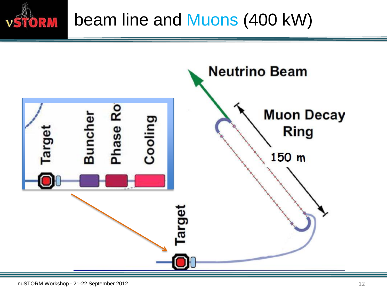

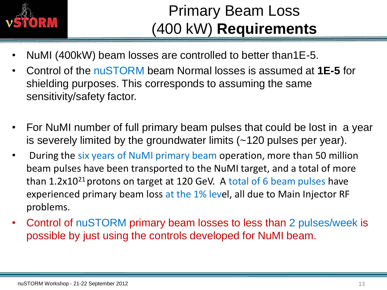

#### Primary Beam Loss (400 kW) **Requirements**

- NuMI (400kW) beam losses are controlled to better than1E-5.
- Control of the nuSTORM beam Normal losses is assumed at **1E-5** for shielding purposes. This corresponds to assuming the same sensitivity/safety factor.
- For NuMI number of full primary beam pulses that could be lost in a year is severely limited by the groundwater limits (~120 pulses per year).
- During the six years of NuMI primary beam operation, more than 50 million beam pulses have been transported to the NuMI target, and a total of more than  $1.2x10^{21}$  protons on target at 120 GeV. A total of 6 beam pulses have experienced primary beam loss at the 1% level, all due to Main Injector RF problems.
- Control of nuSTORM primary beam losses to less than 2 pulses/week is possible by just using the controls developed for NuMI beam.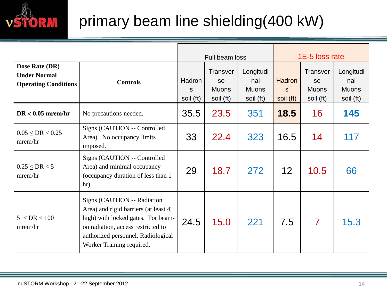

#### primary beam line shielding(400 kW)

|                                                                      |                                                                                                                                                                                                                     | Full beam loss           |                                                    | 1E-5 loss rate                                |                                 |                                                    |                                               |
|----------------------------------------------------------------------|---------------------------------------------------------------------------------------------------------------------------------------------------------------------------------------------------------------------|--------------------------|----------------------------------------------------|-----------------------------------------------|---------------------------------|----------------------------------------------------|-----------------------------------------------|
| Dose Rate (DR)<br><b>Under Normal</b><br><b>Operating Conditions</b> | <b>Controls</b>                                                                                                                                                                                                     | Hadron<br>S<br>soil (ft) | <b>Transver</b><br>se<br><b>Muons</b><br>soil (ft) | Longitudi<br>nal<br><b>Muons</b><br>soil (ft) | <b>Hadron</b><br>S<br>soil (ft) | <b>Transver</b><br>se<br><b>Muons</b><br>soil (ft) | Longitudi<br>nal<br><b>Muons</b><br>soil (ft) |
| $DR < 0.05$ mrem/hr                                                  | No precautions needed.                                                                                                                                                                                              | 35.5                     | 23.5                                               | 351                                           | 18.5                            | 16                                                 | 145                                           |
| $0.05 \leq DR < 0.25$<br>mrem/hr                                     | Signs (CAUTION -- Controlled<br>Area). No occupancy limits<br>imposed.                                                                                                                                              | 33                       | 22.4                                               | 323                                           | 16.5                            | 14                                                 | 117                                           |
| $0.25 \leq DR < 5$<br>mrem/hr                                        | Signs (CAUTION -- Controlled<br>Area) and minimal occupancy<br>(occupancy duration of less than 1<br>$hr$ ).                                                                                                        | 29                       | 18.7                                               | 272                                           | 12 <sup>2</sup>                 | 10.5                                               | 66                                            |
| $5 \leq DR < 100$<br>mrem/hr                                         | Signs (CAUTION -- Radiation<br>Area) and rigid barriers (at least 4'<br>high) with locked gates. For beam-<br>on radiation, access restricted to<br>authorized personnel. Radiological<br>Worker Training required. | 24.5                     | 15.0                                               | 221                                           | 7.5                             | $\overline{7}$                                     | 15.3                                          |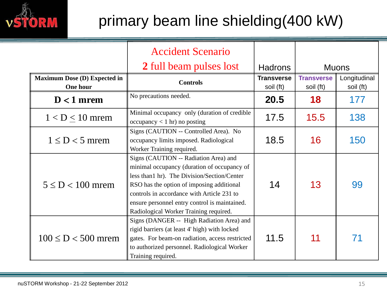

#### primary beam line shielding(400 kW)

|                                                 | <b>Accident Scenario</b>                                                                                                                                                                                                                                                                                                  |                                |                                |                           |  |
|-------------------------------------------------|---------------------------------------------------------------------------------------------------------------------------------------------------------------------------------------------------------------------------------------------------------------------------------------------------------------------------|--------------------------------|--------------------------------|---------------------------|--|
|                                                 | 2 full beam pulses lost                                                                                                                                                                                                                                                                                                   | <b>Hadrons</b>                 |                                | <b>Muons</b>              |  |
| <b>Maximum Dose (D) Expected in</b><br>One hour | <b>Controls</b>                                                                                                                                                                                                                                                                                                           | <b>Transverse</b><br>soil (ft) | <b>Transverse</b><br>soil (ft) | Longitudinal<br>soil (ft) |  |
| $D < 1$ mrem                                    | No precautions needed.                                                                                                                                                                                                                                                                                                    | 20.5                           | 18                             | 177                       |  |
| $1 < D < 10$ mrem                               | Minimal occupancy only (duration of credible<br>$\alpha$ occupancy < 1 hr) no posting                                                                                                                                                                                                                                     | 17.5                           | 15.5                           | 138                       |  |
| $1 \le D < 5$ mrem                              | Signs (CAUTION -- Controlled Area). No<br>occupancy limits imposed. Radiological<br>Worker Training required.                                                                                                                                                                                                             | 18.5                           | 16                             | 150                       |  |
| $5 \le D < 100$ mrem                            | Signs (CAUTION -- Radiation Area) and<br>minimal occupancy (duration of occupancy of<br>less than1 hr). The Division/Section/Center<br>RSO has the option of imposing additional<br>controls in accordance with Article 231 to<br>ensure personnel entry control is maintained.<br>Radiological Worker Training required. | 14                             | 13                             | 99                        |  |
| $100 \le D < 500$ mrem                          | Signs (DANGER -- High Radiation Area) and<br>rigid barriers (at least 4' high) with locked<br>gates. For beam-on radiation, access restricted<br>to authorized personnel. Radiological Worker<br>Training required.                                                                                                       | 11.5                           | 11                             |                           |  |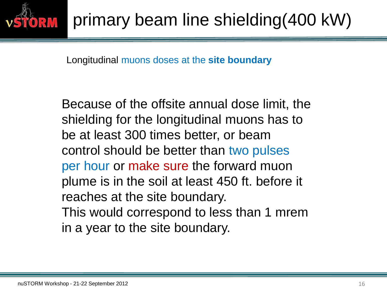

Longitudinal muons doses at the **site boundary**

Because of the offsite annual dose limit, the shielding for the longitudinal muons has to be at least 300 times better, or beam control should be better than two pulses per hour or make sure the forward muon plume is in the soil at least 450 ft. before it reaches at the site boundary. This would correspond to less than 1 mrem in a year to the site boundary.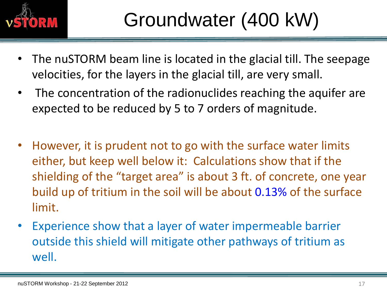

- The nuSTORM beam line is located in the glacial till. The seepage velocities, for the layers in the glacial till, are very small.
- The concentration of the radionuclides reaching the aquifer are expected to be reduced by 5 to 7 orders of magnitude.
- However, it is prudent not to go with the surface water limits either, but keep well below it: Calculations show that if the shielding of the "target area" is about 3 ft. of concrete, one year build up of tritium in the soil will be about 0.13% of the surface limit.
- Experience show that a layer of water impermeable barrier outside this shield will mitigate other pathways of tritium as well.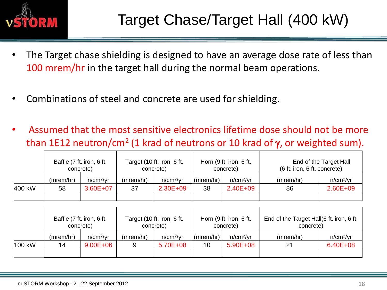

- The Target chase shielding is designed to have an average dose rate of less than 100 mrem/hr in the target hall during the normal beam operations.
- Combinations of steel and concrete are used for shielding.
- Assumed that the most sensitive electronics lifetime dose should not be more than 1E12 neutron/cm<sup>2</sup> (1 krad of neutrons or 10 krad of  $\gamma$ , or weighted sum).

|        | Baffle (7 ft. iron, 6 ft.<br>concrete) |                       | Target (10 ft. iron, 6 ft.<br>concrete) |                       | Horn (9 ft. iron, 6 ft.<br>concrete) |                       | End of the Target Hall<br>(6 ft. iron, 6 ft. concrete) |                       |
|--------|----------------------------------------|-----------------------|-----------------------------------------|-----------------------|--------------------------------------|-----------------------|--------------------------------------------------------|-----------------------|
|        | (mrem/hr)                              | n/cm <sup>2</sup> /yr | (mrem/hr)                               | n/cm <sup>2</sup> /yr | (mrem/hr)                            | n/cm <sup>2</sup> /yr | (mrem/hr)                                              | n/cm <sup>2</sup> /yr |
| 400 kW | 58                                     | 3.60E+07              | 37                                      | $2.30E + 09$          | 38                                   | 2.40E+09              | 86                                                     | $2.60E + 09$          |
|        |                                        |                       |                                         |                       |                                      |                       |                                                        |                       |

|        | Baffle (7 ft. iron, 6 ft.<br>concrete) |                       | Target (10 ft. iron, 6 ft.<br>concrete) |                       | Horn (9 ft. iron, 6 ft.<br>concrete) |                       | End of the Target Hall(6 ft. iron, 6 ft.<br>concrete) |                       |
|--------|----------------------------------------|-----------------------|-----------------------------------------|-----------------------|--------------------------------------|-----------------------|-------------------------------------------------------|-----------------------|
|        | (mrem/hr)                              | n/cm <sup>2</sup> /yr | (mrem/hr)                               | n/cm <sup>2</sup> /yr | (mrem/hr)                            | n/cm <sup>2</sup> /yr | (mrem/hr)                                             | n/cm <sup>2</sup> /yr |
| 100 kW | 14                                     | $9.00E + 06$          |                                         | 5.70E+08              | 10                                   | $5.90E + 08$          | 21                                                    | $6.40E + 08$          |
|        |                                        |                       |                                         |                       |                                      |                       |                                                       |                       |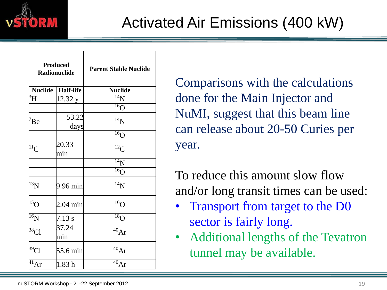

| <b>Produced</b><br><b>Radionuclide</b> |                  | <b>Parent Stable Nuclide</b> |  |  |  |  |
|----------------------------------------|------------------|------------------------------|--|--|--|--|
| <b>Nuclide</b>                         | <b>Half-life</b> | <b>Nuclide</b>               |  |  |  |  |
| $\overline{B}_{\rm H}$                 | 12.32 y          | $\overline{14}N$             |  |  |  |  |
|                                        |                  | $\overline{^{16}O}$          |  |  |  |  |
| $\mathrm{^7Be}$                        | 53.22<br>days    | $^{14}N$                     |  |  |  |  |
|                                        |                  | $\overline{^{16}O}$          |  |  |  |  |
| ${}^{11}C$                             | 20.33<br>min     | ${}^{12}C$                   |  |  |  |  |
|                                        |                  | $\overline{^{14}N}$          |  |  |  |  |
|                                        |                  | $\overline{^{16}}O$          |  |  |  |  |
| $^{13}N$                               | 9.96 min         | $^{14}N$                     |  |  |  |  |
| $^{15}$ O                              | 2.04 min         | $^{16}$ O                    |  |  |  |  |
| $\overline{^{16}\text{N}}$             | 7.13 s           | $\overline{^{18}}$ O         |  |  |  |  |
| <sup>38</sup> Cl                       | 37.24<br>min     | 40Ar                         |  |  |  |  |
| $\beta^9$ Cl                           | 55.6 min         | $^{40}Ar$                    |  |  |  |  |
| $\overline{^{41}}Ar$                   | 1.83h            | 40Ar                         |  |  |  |  |

Comparisons with the calculations done for the Main Injector and NuMI, suggest that this beam line can release about 20-50 Curies per year.

To reduce this amount slow flow and/or long transit times can be used:

- Transport from target to the D0 sector is fairly long.
- Additional lengths of the Tevatron tunnel may be available.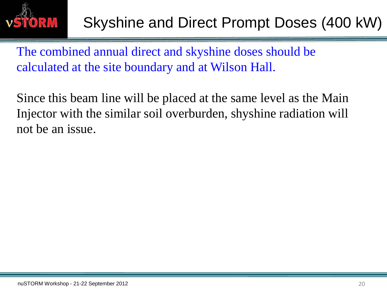

The combined annual direct and skyshine doses should be calculated at the site boundary and at Wilson Hall.

Since this beam line will be placed at the same level as the Main Injector with the similar soil overburden, shyshine radiation will not be an issue.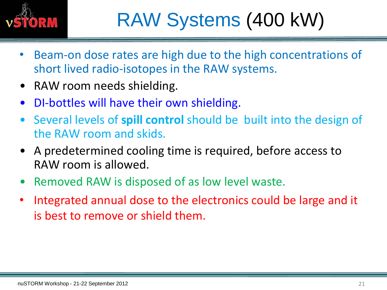

- Beam-on dose rates are high due to the high concentrations of short lived radio-isotopes in the RAW systems.
- RAW room needs shielding.
- DI-bottles will have their own shielding.
- Several levels of **spill control** should be built into the design of the RAW room and skids.
- A predetermined cooling time is required, before access to RAW room is allowed.
- Removed RAW is disposed of as low level waste.
- Integrated annual dose to the electronics could be large and it is best to remove or shield them.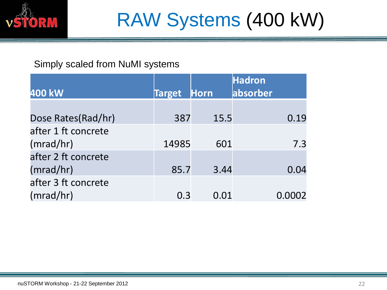

#### Simply scaled from NuMI systems

| 400 kW              | <b>Target</b> | Horn | <b>Hadron</b><br>absorber |
|---------------------|---------------|------|---------------------------|
|                     |               |      |                           |
| Dose Rates(Rad/hr)  | 387           | 15.5 | 0.19                      |
| after 1 ft concrete |               |      |                           |
| (mrad/hr)           | 14985         | 601  | 7.3                       |
| after 2 ft concrete |               |      |                           |
| (mrad/hr)           | 85.7          | 3.44 | 0.04                      |
| after 3 ft concrete |               |      |                           |
| (mrad/hr)           | 0.3           | 0.01 | 0.0002                    |